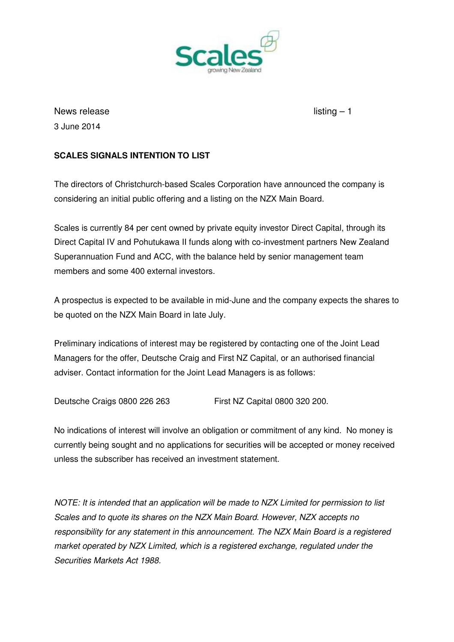

News release listing  $-1$ 3 June 2014

## **SCALES SIGNALS INTENTION TO LIST**

The directors of Christchurch-based Scales Corporation have announced the company is considering an initial public offering and a listing on the NZX Main Board.

Scales is currently 84 per cent owned by private equity investor Direct Capital, through its Direct Capital IV and Pohutukawa II funds along with co-investment partners New Zealand Superannuation Fund and ACC, with the balance held by senior management team members and some 400 external investors.

A prospectus is expected to be available in mid-June and the company expects the shares to be quoted on the NZX Main Board in late July.

Preliminary indications of interest may be registered by contacting one of the Joint Lead Managers for the offer, Deutsche Craig and First NZ Capital, or an authorised financial adviser. Contact information for the Joint Lead Managers is as follows:

Deutsche Craigs 0800 226 263 First NZ Capital 0800 320 200.

No indications of interest will involve an obligation or commitment of any kind. No money is currently being sought and no applications for securities will be accepted or money received unless the subscriber has received an investment statement.

NOTE: It is intended that an application will be made to NZX Limited for permission to list Scales and to quote its shares on the NZX Main Board. However, NZX accepts no responsibility for any statement in this announcement. The NZX Main Board is a registered market operated by NZX Limited, which is a registered exchange, regulated under the Securities Markets Act 1988.